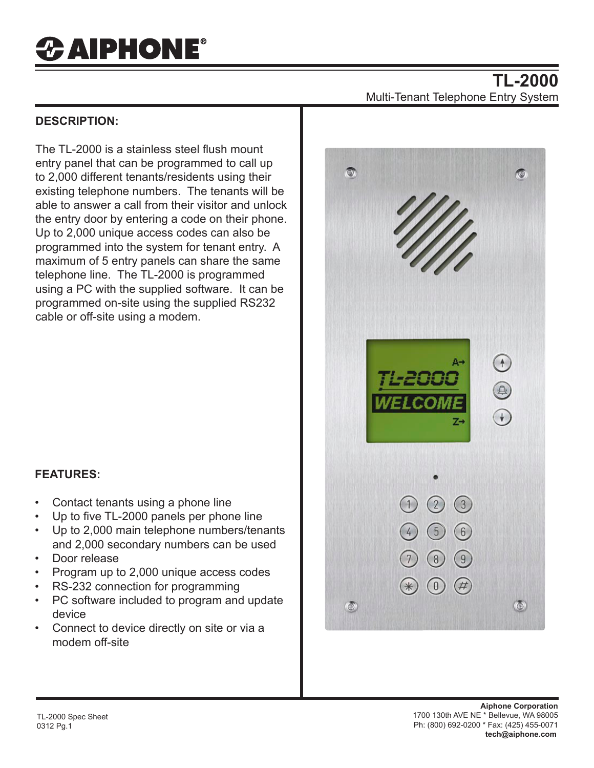## *&* **AIPHONE®**

## **DESCRIPTION:**

The TL-2000 is a stainless steel flush mount entry panel that can be programmed to call up to 2,000 different tenants/residents using their existing telephone numbers. The tenants will be able to answer a call from their visitor and unlock the entry door by entering a code on their phone. Up to 2,000 unique access codes can also be programmed into the system for tenant entry. A maximum of 5 entry panels can share the same telephone line. The TL-2000 is programmed using a PC with the supplied software. It can be programmed on-site using the supplied RS232 cable or off-site using a modem.

## **TL-2000** Multi-Tenant Telephone Entry System



## **FEATURES:**

- Contact tenants using a phone line
- Up to five TL-2000 panels per phone line
- Up to 2,000 main telephone numbers/tenants and 2,000 secondary numbers can be used
- Door release
- Program up to 2,000 unique access codes
- RS-232 connection for programming
- PC software included to program and update device
- Connect to device directly on site or via a modem off-site